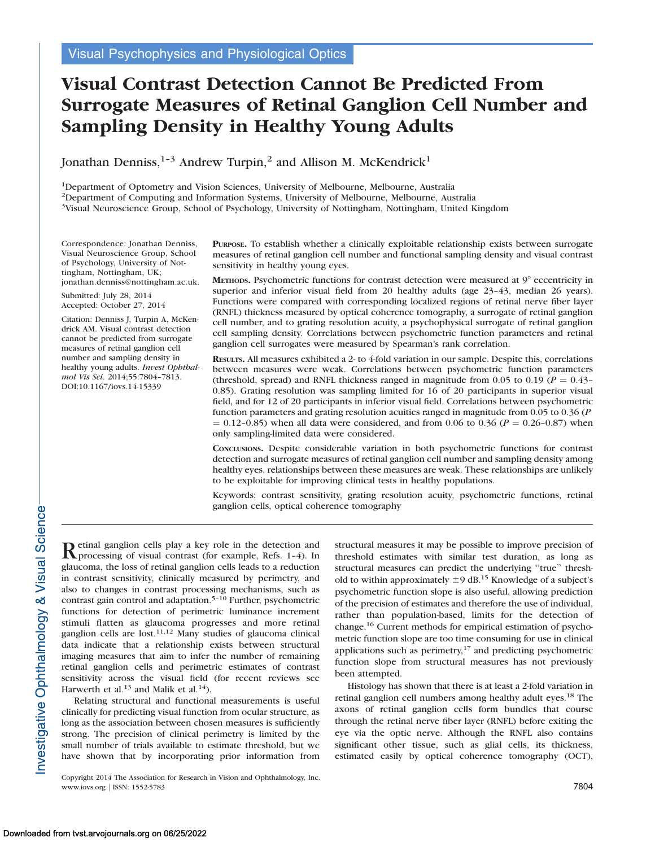# Visual Contrast Detection Cannot Be Predicted From Surrogate Measures of Retinal Ganglion Cell Number and Sampling Density in Healthy Young Adults

Jonathan Denniss,<sup>1-3</sup> Andrew Turpin,<sup>2</sup> and Allison M. McKendrick<sup>1</sup>

1Department of Optometry and Vision Sciences, University of Melbourne, Melbourne, Australia

2Department of Computing and Information Systems, University of Melbourne, Melbourne, Australia

<sup>3</sup>Visual Neuroscience Group, School of Psychology, University of Nottingham, Nottingham, United Kingdom

Correspondence: Jonathan Denniss, Visual Neuroscience Group, School of Psychology, University of Nottingham, Nottingham, UK; jonathan.denniss@nottingham.ac.uk.

Submitted: July 28, 2014 Accepted: October 27, 2014

Citation: Denniss J, Turpin A, McKendrick AM. Visual contrast detection cannot be predicted from surrogate measures of retinal ganglion cell number and sampling density in healthy young adults. Invest Ophthalmol Vis Sci. 2014;55:7804–7813. DOI:10.1167/iovs.14-15339

PURPOSE. To establish whether a clinically exploitable relationship exists between surrogate measures of retinal ganglion cell number and functional sampling density and visual contrast sensitivity in healthy young eyes.

METHODS. Psychometric functions for contrast detection were measured at  $9^\circ$  eccentricity in superior and inferior visual field from 20 healthy adults (age 23-43, median 26 years). Functions were compared with corresponding localized regions of retinal nerve fiber layer (RNFL) thickness measured by optical coherence tomography, a surrogate of retinal ganglion cell number, and to grating resolution acuity, a psychophysical surrogate of retinal ganglion cell sampling density. Correlations between psychometric function parameters and retinal ganglion cell surrogates were measured by Spearman's rank correlation.

RESULTS. All measures exhibited a 2- to 4-fold variation in our sample. Despite this, correlations between measures were weak. Correlations between psychometric function parameters (threshold, spread) and RNFL thickness ranged in magnitude from 0.05 to 0.19 ( $P = 0.43$ – 0.85). Grating resolution was sampling limited for 16 of 20 participants in superior visual field, and for 12 of 20 participants in inferior visual field. Correlations between psychometric function parameters and grating resolution acuities ranged in magnitude from 0.05 to 0.36 (P  $= 0.12$ –0.85) when all data were considered, and from 0.06 to 0.36 ( $P = 0.26$ –0.87) when only sampling-limited data were considered.

CONCLUSIONS. Despite considerable variation in both psychometric functions for contrast detection and surrogate measures of retinal ganglion cell number and sampling density among healthy eyes, relationships between these measures are weak. These relationships are unlikely to be exploitable for improving clinical tests in healthy populations.

Keywords: contrast sensitivity, grating resolution acuity, psychometric functions, retinal ganglion cells, optical coherence tomography

Retinal ganglion cells play a key role in the detection and processing of visual contrast (for example, Refs. 1–4). In glaucoma, the loss of retinal ganglion cells leads to a reduction in contrast sensitivity, clinically measured by perimetry, and also to changes in contrast processing mechanisms, such as contrast gain control and adaptation.<sup>5-10</sup> Further, psychometric functions for detection of perimetric luminance increment stimuli flatten as glaucoma progresses and more retinal ganglion cells are lost. $11,12$  Many studies of glaucoma clinical data indicate that a relationship exists between structural imaging measures that aim to infer the number of remaining retinal ganglion cells and perimetric estimates of contrast sensitivity across the visual field (for recent reviews see Harwerth et al.<sup>13</sup> and Malik et al.<sup>14</sup>).

Relating structural and functional measurements is useful clinically for predicting visual function from ocular structure, as long as the association between chosen measures is sufficiently strong. The precision of clinical perimetry is limited by the small number of trials available to estimate threshold, but we have shown that by incorporating prior information from

Copyright 2014 The Association for Research in Vision and Ophthalmology, Inc. www.iovs.org | ISSN: 1552-5783 7804

structural measures it may be possible to improve precision of threshold estimates with similar test duration, as long as structural measures can predict the underlying ''true'' threshold to within approximately  $\pm$ 9 dB.<sup>15</sup> Knowledge of a subject's psychometric function slope is also useful, allowing prediction of the precision of estimates and therefore the use of individual, rather than population-based, limits for the detection of change.16 Current methods for empirical estimation of psychometric function slope are too time consuming for use in clinical applications such as perimetry, $17$  and predicting psychometric function slope from structural measures has not previously been attempted.

Histology has shown that there is at least a 2-fold variation in retinal ganglion cell numbers among healthy adult eyes.<sup>18</sup> The axons of retinal ganglion cells form bundles that course through the retinal nerve fiber layer (RNFL) before exiting the eye via the optic nerve. Although the RNFL also contains significant other tissue, such as glial cells, its thickness, estimated easily by optical coherence tomography (OCT),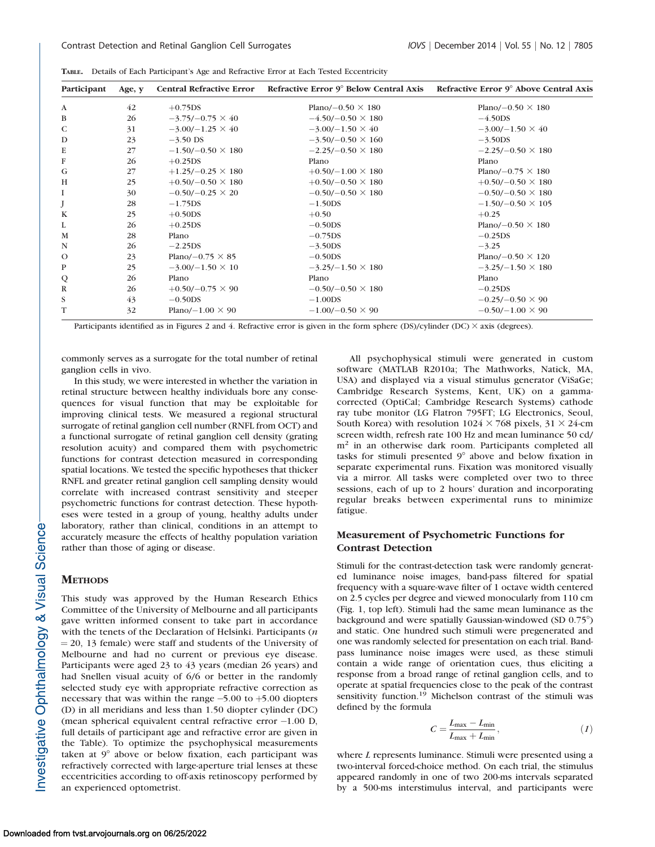| Participant  | Age, $y$ |                          | Central Refractive Error Refractive Error 9° Below Central Axis Refractive Error 9° Above Central Axis |                           |
|--------------|----------|--------------------------|--------------------------------------------------------------------------------------------------------|---------------------------|
| $\mathbf{A}$ | 42       | $+0.75DS$                | Plano/ $-0.50 \times 180$                                                                              | Plano/ $-0.50 \times 180$ |
| B            | 26       | $-3.75/-0.75 \times 40$  | $-4.50/-0.50 \times 180$                                                                               | $-4.50DS$                 |
| C            | 31       | $-3.00/-1.25 \times 40$  | $-3.00/-1.50 \times 40$                                                                                | $-3.00/-1.50 \times 40$   |
| D            | 23       | $-3.50$ DS               | $-3.50/-0.50 \times 160$                                                                               | $-3.50DS$                 |
| E            | 27       | $-1.50/-0.50 \times 180$ | $-2.25/-0.50 \times 180$                                                                               | $-2.25/-0.50 \times 180$  |
| F            | 26       | $+0.25DS$                | Plano                                                                                                  | Plano                     |
| G            | 27       | $+1.25/-0.25 \times 180$ | $+0.50/-1.00 \times 180$                                                                               | Plano/ $-0.75 \times 180$ |
| H            | 25       | $+0.50/-0.50 \times 180$ | $+0.50/-0.50 \times 180$                                                                               | $+0.50/-0.50 \times 180$  |
| I            | 30       | $-0.50/-0.25 \times 20$  | $-0.50/-0.50 \times 180$                                                                               | $-0.50/-0.50 \times 180$  |
|              | 28       | $-1.75DS$                | $-1.50DS$                                                                                              | $-1.50/-0.50 \times 105$  |
| K            | 25       | $+0.50DS$                | $+0.50$                                                                                                | $+0.25$                   |
| L            | 26       | $+0.25DS$                | $-0.50DS$                                                                                              | Plano/ $-0.50 \times 180$ |
| M            | 28       | Plano                    | $-0.75DS$                                                                                              | $-0.25DS$                 |
| N            | 26       | $-2.25DS$                | $-3.50DS$                                                                                              | $-3.25$                   |
| $\Omega$     | 23       | Plano/ $-0.75 \times 85$ | $-0.50DS$                                                                                              | Plano/ $-0.50 \times 120$ |
| $\, {\bf P}$ | 25       | $-3.00/-1.50 \times 10$  | $-3.25/-1.50 \times 180$                                                                               | $-3.25/-1.50 \times 180$  |
| Q            | 26       | Plano                    | Plano                                                                                                  | Plano                     |
| $\mathbb{R}$ | 26       | $+0.50/-0.75 \times 90$  | $-0.50/-0.50 \times 180$                                                                               | $-0.25DS$                 |
| S            | 43       | $-0.50DS$                | $-1.00DS$                                                                                              | $-0.25/-0.50 \times 90$   |
| T            | 32       | Plano/ $-1.00 \times 90$ | $-1.00/-0.50 \times 90$                                                                                | $-0.50/-1.00 \times 90$   |
|              |          |                          |                                                                                                        |                           |

TABLE. Details of Each Participant's Age and Refractive Error at Each Tested Eccentricity

Participants identified as in Figures 2 and 4. Refractive error is given in the form sphere (DS)/cylinder (DC)  $\times$  axis (degrees).

commonly serves as a surrogate for the total number of retinal ganglion cells in vivo.

In this study, we were interested in whether the variation in retinal structure between healthy individuals bore any consequences for visual function that may be exploitable for improving clinical tests. We measured a regional structural surrogate of retinal ganglion cell number (RNFL from OCT) and a functional surrogate of retinal ganglion cell density (grating resolution acuity) and compared them with psychometric functions for contrast detection measured in corresponding spatial locations. We tested the specific hypotheses that thicker RNFL and greater retinal ganglion cell sampling density would correlate with increased contrast sensitivity and steeper psychometric functions for contrast detection. These hypotheses were tested in a group of young, healthy adults under laboratory, rather than clinical, conditions in an attempt to accurately measure the effects of healthy population variation rather than those of aging or disease.

#### **METHODS**

This study was approved by the Human Research Ethics Committee of the University of Melbourne and all participants gave written informed consent to take part in accordance with the tenets of the Declaration of Helsinki. Participants (n  $= 20, 13$  female) were staff and students of the University of Melbourne and had no current or previous eye disease. Participants were aged 23 to 43 years (median 26 years) and had Snellen visual acuity of 6/6 or better in the randomly selected study eye with appropriate refractive correction as necessary that was within the range  $-5.00$  to  $+5.00$  diopters (D) in all meridians and less than 1.50 diopter cylinder (DC) (mean spherical equivalent central refractive error -1.00 D, full details of participant age and refractive error are given in the Table). To optimize the psychophysical measurements taken at  $9^\circ$  above or below fixation, each participant was refractively corrected with large-aperture trial lenses at these eccentricities according to off-axis retinoscopy performed by an experienced optometrist.

All psychophysical stimuli were generated in custom software (MATLAB R2010a; The Mathworks, Natick, MA, USA) and displayed via a visual stimulus generator (ViSaGe; Cambridge Research Systems, Kent, UK) on a gammacorrected (OptiCal; Cambridge Research Systems) cathode ray tube monitor (LG Flatron 795FT; LG Electronics, Seoul, South Korea) with resolution  $1024 \times 768$  pixels,  $31 \times 24$ -cm screen width, refresh rate 100 Hz and mean luminance 50 cd/ m<sup>2</sup> in an otherwise dark room. Participants completed all tasks for stimuli presented  $9^\circ$  above and below fixation in separate experimental runs. Fixation was monitored visually via a mirror. All tasks were completed over two to three sessions, each of up to 2 hours' duration and incorporating regular breaks between experimental runs to minimize fatigue.

# Measurement of Psychometric Functions for Contrast Detection

Stimuli for the contrast-detection task were randomly generated luminance noise images, band-pass filtered for spatial frequency with a square-wave filter of 1 octave width centered on 2.5 cycles per degree and viewed monocularly from 110 cm (Fig. 1, top left). Stimuli had the same mean luminance as the background and were spatially Gaussian-windowed (SD 0.75<sup>o</sup>) and static. One hundred such stimuli were pregenerated and one was randomly selected for presentation on each trial. Bandpass luminance noise images were used, as these stimuli contain a wide range of orientation cues, thus eliciting a response from a broad range of retinal ganglion cells, and to operate at spatial frequencies close to the peak of the contrast sensitivity function.<sup>19</sup> Michelson contrast of the stimuli was defined by the formula

$$
C = \frac{L_{\text{max}} - L_{\text{min}}}{L_{\text{max}} + L_{\text{min}}},\tag{1}
$$

where L represents luminance. Stimuli were presented using a two-interval forced-choice method. On each trial, the stimulus appeared randomly in one of two 200-ms intervals separated by a 500-ms interstimulus interval, and participants were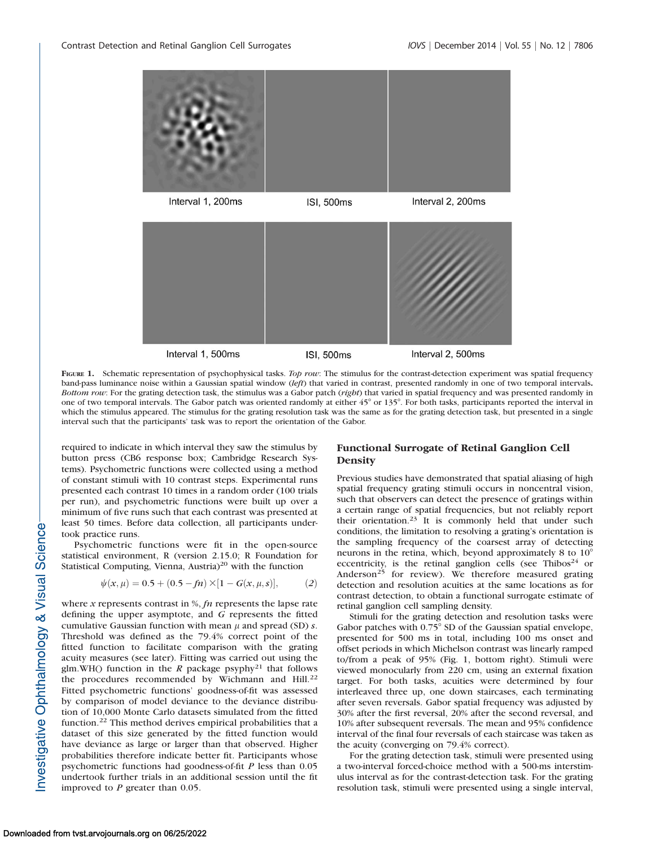

FIGURE 1. Schematic representation of psychophysical tasks. Top row: The stimulus for the contrast-detection experiment was spatial frequency band-pass luminance noise within a Gaussian spatial window (left) that varied in contrast, presented randomly in one of two temporal intervals. Bottom row: For the grating detection task, the stimulus was a Gabor patch (right) that varied in spatial frequency and was presented randomly in one of two temporal intervals. The Gabor patch was oriented randomly at either 45° or 135°. For both tasks, participants reported the interval in which the stimulus appeared. The stimulus for the grating resolution task was the same as for the grating detection task, but presented in a single interval such that the participants' task was to report the orientation of the Gabor.

required to indicate in which interval they saw the stimulus by button press (CB6 response box; Cambridge Research Systems). Psychometric functions were collected using a method of constant stimuli with 10 contrast steps. Experimental runs presented each contrast 10 times in a random order (100 trials per run), and psychometric functions were built up over a minimum of five runs such that each contrast was presented at least 50 times. Before data collection, all participants undertook practice runs.

Psychometric functions were fit in the open-source statistical environment, R (version 2.15.0; R Foundation for Statistical Computing, Vienna, Austria)<sup>20</sup> with the function

$$
\psi(x,\mu) = 0.5 + (0.5 - fn) \times [1 - G(x,\mu,s)],\tag{2}
$$

where  $x$  represents contrast in %,  $fn$  represents the lapse rate defining the upper asymptote, and G represents the fitted cumulative Gaussian function with mean  $\mu$  and spread (SD) s. Threshold was defined as the 79.4% correct point of the fitted function to facilitate comparison with the grating acuity measures (see later). Fitting was carried out using the glm.WH() function in the  $R$  package psyphy<sup>21</sup> that follows the procedures recommended by Wichmann and Hill.<sup>22</sup> Fitted psychometric functions' goodness-of-fit was assessed by comparison of model deviance to the deviance distribution of 10,000 Monte Carlo datasets simulated from the fitted function.<sup>22</sup> This method derives empirical probabilities that a dataset of this size generated by the fitted function would have deviance as large or larger than that observed. Higher probabilities therefore indicate better fit. Participants whose psychometric functions had goodness-of-fit P less than 0.05 undertook further trials in an additional session until the fit improved to  $P$  greater than 0.05.

## Functional Surrogate of Retinal Ganglion Cell **Density**

Previous studies have demonstrated that spatial aliasing of high spatial frequency grating stimuli occurs in noncentral vision, such that observers can detect the presence of gratings within a certain range of spatial frequencies, but not reliably report their orientation.<sup>23</sup> It is commonly held that under such conditions, the limitation to resolving a grating's orientation is the sampling frequency of the coarsest array of detecting neurons in the retina, which, beyond approximately 8 to  $10^{\circ}$ eccentricity, is the retinal ganglion cells (see Thibos<sup>24</sup> or Anderson<sup>25</sup> for review). We therefore measured grating detection and resolution acuities at the same locations as for contrast detection, to obtain a functional surrogate estimate of retinal ganglion cell sampling density.

Stimuli for the grating detection and resolution tasks were Gabor patches with 0.75° SD of the Gaussian spatial envelope, presented for 500 ms in total, including 100 ms onset and offset periods in which Michelson contrast was linearly ramped to/from a peak of 95% (Fig. 1, bottom right). Stimuli were viewed monocularly from 220 cm, using an external fixation target. For both tasks, acuities were determined by four interleaved three up, one down staircases, each terminating after seven reversals. Gabor spatial frequency was adjusted by 30% after the first reversal, 20% after the second reversal, and 10% after subsequent reversals. The mean and 95% confidence interval of the final four reversals of each staircase was taken as the acuity (converging on 79.4% correct).

For the grating detection task, stimuli were presented using a two-interval forced-choice method with a 500-ms interstimulus interval as for the contrast-detection task. For the grating resolution task, stimuli were presented using a single interval,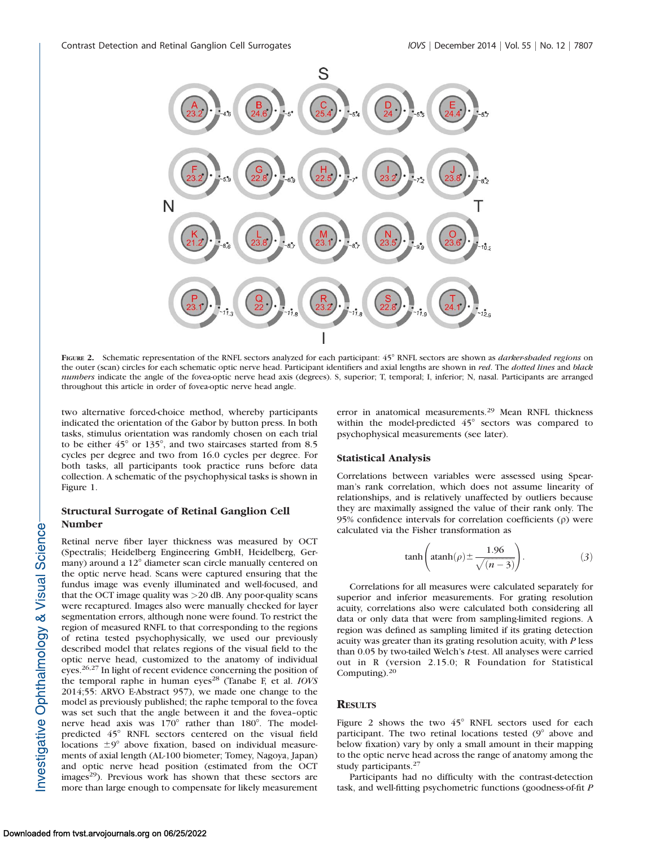

FIGURE 2. Schematic representation of the RNFL sectors analyzed for each participant: 45° RNFL sectors are shown as *darker-shaded regions* on the outer (scan) circles for each schematic optic nerve head. Participant identifiers and axial lengths are shown in red. The dotted lines and black numbers indicate the angle of the fovea-optic nerve head axis (degrees). S, superior; T, temporal; I, inferior; N, nasal. Participants are arranged throughout this article in order of fovea-optic nerve head angle.

two alternative forced-choice method, whereby participants indicated the orientation of the Gabor by button press. In both tasks, stimulus orientation was randomly chosen on each trial to be either  $45^{\circ}$  or  $135^{\circ}$ , and two staircases started from 8.5 cycles per degree and two from 16.0 cycles per degree. For both tasks, all participants took practice runs before data collection. A schematic of the psychophysical tasks is shown in Figure 1.

# Structural Surrogate of Retinal Ganglion Cell Number

Retinal nerve fiber layer thickness was measured by OCT (Spectralis; Heidelberg Engineering GmbH, Heidelberg, Germany) around a 12° diameter scan circle manually centered on the optic nerve head. Scans were captured ensuring that the fundus image was evenly illuminated and well-focused, and that the OCT image quality was >20 dB. Any poor-quality scans were recaptured. Images also were manually checked for layer segmentation errors, although none were found. To restrict the region of measured RNFL to that corresponding to the regions of retina tested psychophysically, we used our previously described model that relates regions of the visual field to the optic nerve head, customized to the anatomy of individual eyes.26,27 In light of recent evidence concerning the position of the temporal raphe in human eyes<sup>28</sup> (Tanabe F, et al.  $IOVS$ 2014;55: ARVO E-Abstract 957), we made one change to the model as previously published; the raphe temporal to the fovea was set such that the angle between it and the fovea–optic nerve head axis was 170° rather than 180°. The modelpredicted 45° RNFL sectors centered on the visual field locations  $\pm 9^\circ$  above fixation, based on individual measurements of axial length (AL-100 biometer; Tomey, Nagoya, Japan) and optic nerve head position (estimated from the OCT images<sup>29</sup>). Previous work has shown that these sectors are more than large enough to compensate for likely measurement

error in anatomical measurements.<sup>29</sup> Mean RNFL thickness within the model-predicted  $45^\circ$  sectors was compared to psychophysical measurements (see later).

### Statistical Analysis

Correlations between variables were assessed using Spearman's rank correlation, which does not assume linearity of relationships, and is relatively unaffected by outliers because they are maximally assigned the value of their rank only. The 95% confidence intervals for correlation coefficients  $(\rho)$  were calculated via the Fisher transformation as

$$
\tanh\left(\operatorname{atanh}(\rho) \pm \frac{1.96}{\sqrt{(n-3)}}\right). \tag{3}
$$

Correlations for all measures were calculated separately for superior and inferior measurements. For grating resolution acuity, correlations also were calculated both considering all data or only data that were from sampling-limited regions. A region was defined as sampling limited if its grating detection acuity was greater than its grating resolution acuity, with P less than 0.05 by two-tailed Welch's t-test. All analyses were carried out in R (version 2.15.0; R Foundation for Statistical Computing). $20$ 

## **RESULTS**

Figure 2 shows the two  $45^{\circ}$  RNFL sectors used for each participant. The two retinal locations tested  $(9^{\circ})$  above and below fixation) vary by only a small amount in their mapping to the optic nerve head across the range of anatomy among the study participants.<sup>27</sup>

Participants had no difficulty with the contrast-detection task, and well-fitting psychometric functions (goodness-of-fit P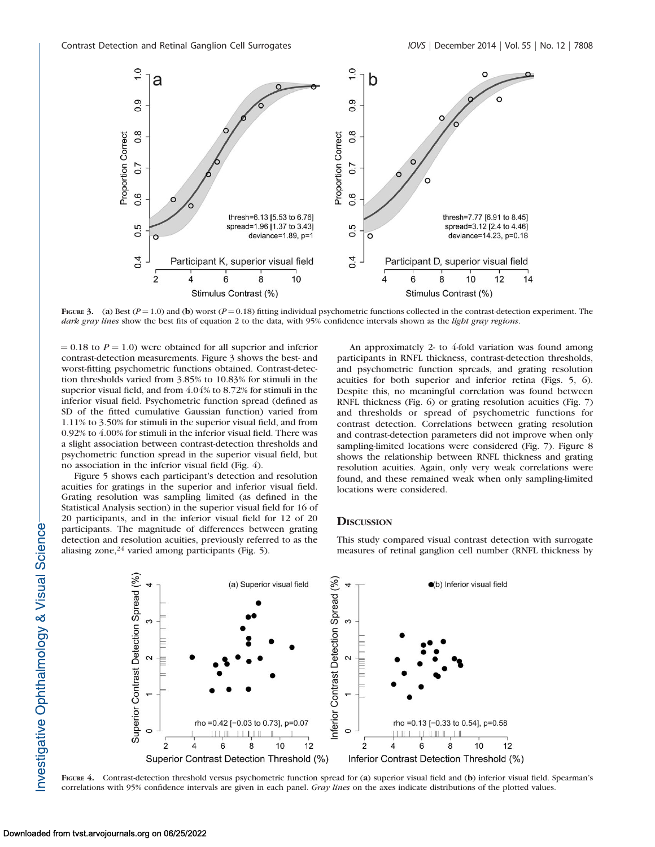

FIGURE 3. (a) Best  $(P = 1.0)$  and (b) worst  $(P = 0.18)$  fitting individual psychometric functions collected in the contrast-detection experiment. The dark gray lines show the best fits of equation 2 to the data, with 95% confidence intervals shown as the light gray regions.

 $= 0.18$  to  $P = 1.0$ ) were obtained for all superior and inferior contrast-detection measurements. Figure 3 shows the best- and worst-fitting psychometric functions obtained. Contrast-detection thresholds varied from 3.85% to 10.83% for stimuli in the superior visual field, and from 4.04% to 8.72% for stimuli in the inferior visual field. Psychometric function spread (defined as SD of the fitted cumulative Gaussian function) varied from 1.11% to 3.50% for stimuli in the superior visual field, and from 0.92% to 4.00% for stimuli in the inferior visual field. There was a slight association between contrast-detection thresholds and psychometric function spread in the superior visual field, but no association in the inferior visual field (Fig. 4).

Figure 5 shows each participant's detection and resolution acuities for gratings in the superior and inferior visual field. Grating resolution was sampling limited (as defined in the Statistical Analysis section) in the superior visual field for 16 of 20 participants, and in the inferior visual field for 12 of 20 participants. The magnitude of differences between grating detection and resolution acuities, previously referred to as the aliasing zone, $24$  varied among participants (Fig. 5).

An approximately 2- to 4-fold variation was found among participants in RNFL thickness, contrast-detection thresholds, and psychometric function spreads, and grating resolution acuities for both superior and inferior retina (Figs. 5, 6). Despite this, no meaningful correlation was found between RNFL thickness (Fig. 6) or grating resolution acuities (Fig. 7) and thresholds or spread of psychometric functions for contrast detection. Correlations between grating resolution and contrast-detection parameters did not improve when only sampling-limited locations were considered (Fig. 7). Figure 8 shows the relationship between RNFL thickness and grating resolution acuities. Again, only very weak correlations were found, and these remained weak when only sampling-limited locations were considered.

#### **DISCUSSION**

This study compared visual contrast detection with surrogate measures of retinal ganglion cell number (RNFL thickness by



FIGURE 4. Contrast-detection threshold versus psychometric function spread for (a) superior visual field and (b) inferior visual field. Spearman's correlations with 95% confidence intervals are given in each panel. Gray lines on the axes indicate distributions of the plotted values.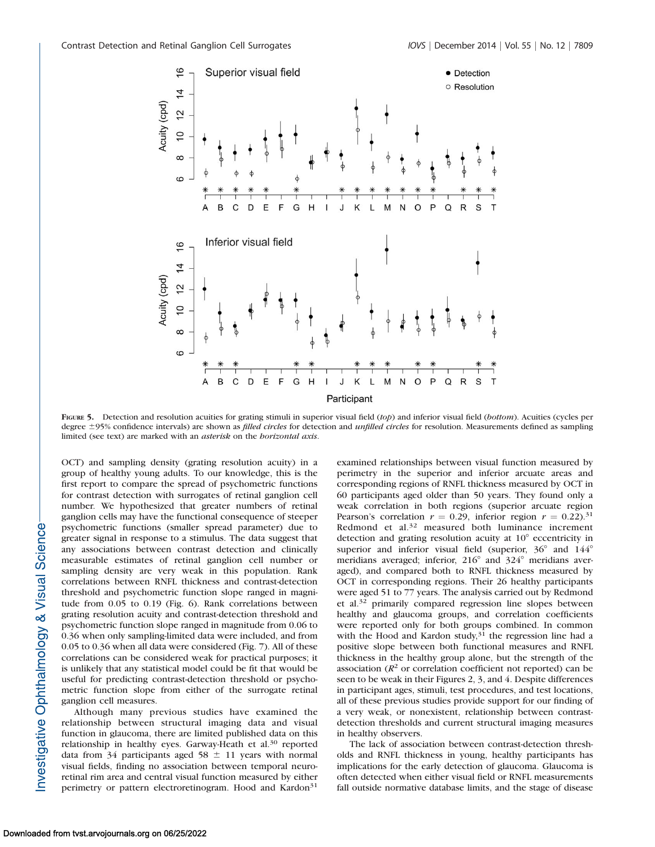

FIGURE 5. Detection and resolution acuities for grating stimuli in superior visual field (top) and inferior visual field (bottom). Acuities (cycles per degree ±95% confidence intervals) are shown as *filled circles* for detection and *unfilled circles* for resolution. Measurements defined as sampling limited (see text) are marked with an *asterisk* on the *borizontal axis*.

OCT) and sampling density (grating resolution acuity) in a group of healthy young adults. To our knowledge, this is the first report to compare the spread of psychometric functions for contrast detection with surrogates of retinal ganglion cell number. We hypothesized that greater numbers of retinal ganglion cells may have the functional consequence of steeper psychometric functions (smaller spread parameter) due to greater signal in response to a stimulus. The data suggest that any associations between contrast detection and clinically measurable estimates of retinal ganglion cell number or sampling density are very weak in this population. Rank correlations between RNFL thickness and contrast-detection threshold and psychometric function slope ranged in magnitude from 0.05 to 0.19 (Fig. 6). Rank correlations between grating resolution acuity and contrast-detection threshold and psychometric function slope ranged in magnitude from 0.06 to 0.36 when only sampling-limited data were included, and from 0.05 to 0.36 when all data were considered (Fig. 7). All of these correlations can be considered weak for practical purposes; it is unlikely that any statistical model could be fit that would be useful for predicting contrast-detection threshold or psychometric function slope from either of the surrogate retinal ganglion cell measures.

Although many previous studies have examined the relationship between structural imaging data and visual function in glaucoma, there are limited published data on this relationship in healthy eyes. Garway-Heath et al.<sup>30</sup> reported data from 34 participants aged 58  $\pm$  11 years with normal visual fields, finding no association between temporal neuroretinal rim area and central visual function measured by either perimetry or pattern electroretinogram. Hood and Kardon<sup>31</sup>

examined relationships between visual function measured by perimetry in the superior and inferior arcuate areas and corresponding regions of RNFL thickness measured by OCT in 60 participants aged older than 50 years. They found only a weak correlation in both regions (superior arcuate region Pearson's correlation  $r = 0.29$ , inferior region  $r = 0.22$ ).<sup>31</sup> Redmond et al.<sup>32</sup> measured both luminance increment detection and grating resolution acuity at  $10^{\circ}$  eccentricity in superior and inferior visual field (superior,  $36^{\circ}$  and  $144^{\circ}$ ) meridians averaged; inferior,  $216^{\circ}$  and  $324^{\circ}$  meridians averaged), and compared both to RNFL thickness measured by OCT in corresponding regions. Their 26 healthy participants were aged 51 to 77 years. The analysis carried out by Redmond et al.<sup>32</sup> primarily compared regression line slopes between healthy and glaucoma groups, and correlation coefficients were reported only for both groups combined. In common with the Hood and Kardon study, $3<sup>1</sup>$  the regression line had a positive slope between both functional measures and RNFL thickness in the healthy group alone, but the strength of the association ( $R<sup>2</sup>$  or correlation coefficient not reported) can be seen to be weak in their Figures 2, 3, and 4. Despite differences in participant ages, stimuli, test procedures, and test locations, all of these previous studies provide support for our finding of a very weak, or nonexistent, relationship between contrastdetection thresholds and current structural imaging measures in healthy observers.

The lack of association between contrast-detection thresholds and RNFL thickness in young, healthy participants has implications for the early detection of glaucoma. Glaucoma is often detected when either visual field or RNFL measurements fall outside normative database limits, and the stage of disease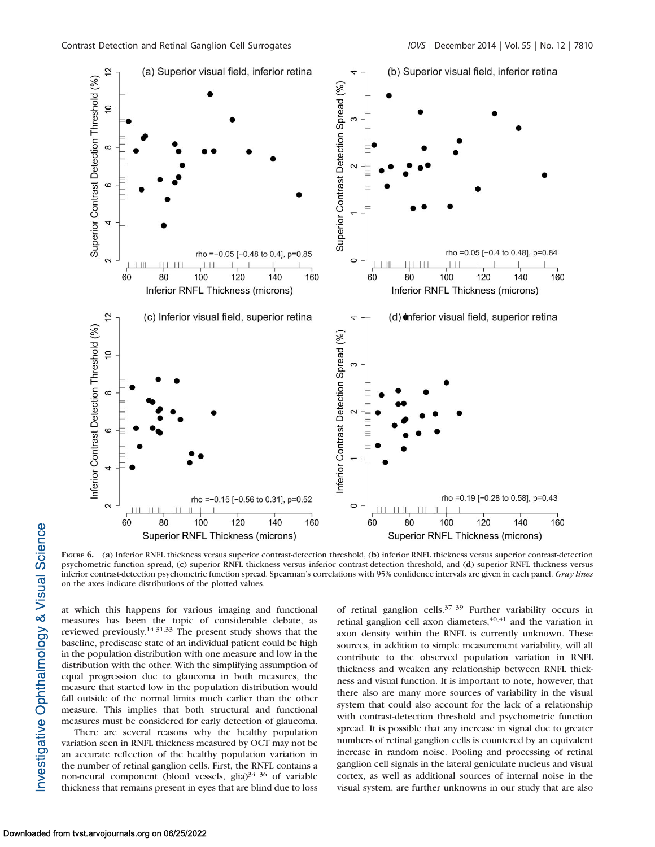

FIGURE 6. (a) Inferior RNFL thickness versus superior contrast-detection threshold, (b) inferior RNFL thickness versus superior contrast-detection psychometric function spread, (c) superior RNFL thickness versus inferior contrast-detection threshold, and (d) superior RNFL thickness versus inferior contrast-detection psychometric function spread. Spearman's correlations with 95% confidence intervals are given in each panel. Gray lines on the axes indicate distributions of the plotted values.

at which this happens for various imaging and functional measures has been the topic of considerable debate, as reviewed previously.14,31,33 The present study shows that the baseline, predisease state of an individual patient could be high in the population distribution with one measure and low in the distribution with the other. With the simplifying assumption of equal progression due to glaucoma in both measures, the measure that started low in the population distribution would fall outside of the normal limits much earlier than the other measure. This implies that both structural and functional measures must be considered for early detection of glaucoma.

There are several reasons why the healthy population variation seen in RNFL thickness measured by OCT may not be an accurate reflection of the healthy population variation in the number of retinal ganglion cells. First, the RNFL contains a non-neural component (blood vessels, glia) $34-36$  of variable thickness that remains present in eyes that are blind due to loss of retinal ganglion cells.37–39 Further variability occurs in retinal ganglion cell axon diameters, <sup>40,41</sup> and the variation in axon density within the RNFL is currently unknown. These sources, in addition to simple measurement variability, will all contribute to the observed population variation in RNFL thickness and weaken any relationship between RNFL thickness and visual function. It is important to note, however, that there also are many more sources of variability in the visual system that could also account for the lack of a relationship with contrast-detection threshold and psychometric function spread. It is possible that any increase in signal due to greater numbers of retinal ganglion cells is countered by an equivalent increase in random noise. Pooling and processing of retinal ganglion cell signals in the lateral geniculate nucleus and visual cortex, as well as additional sources of internal noise in the visual system, are further unknowns in our study that are also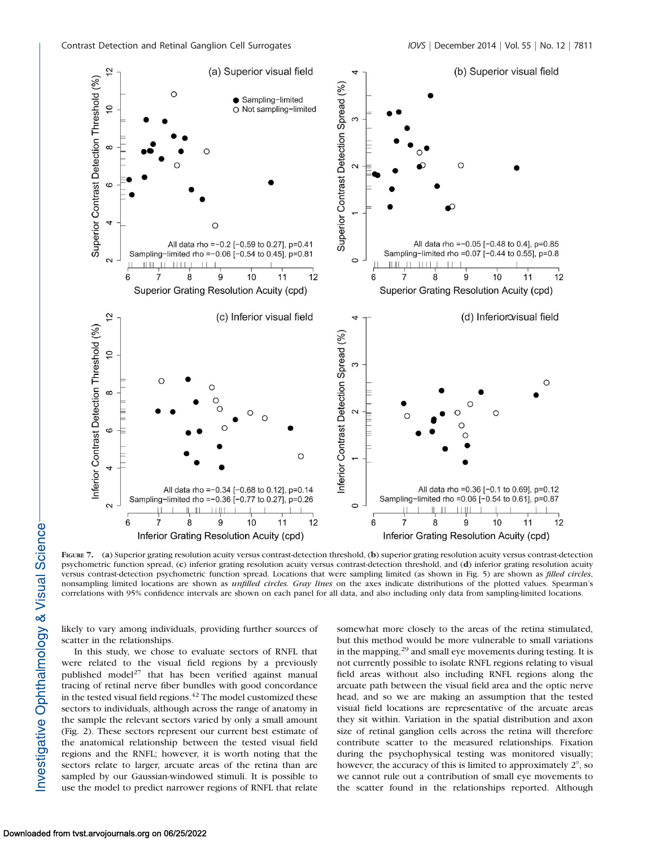

FIGURE 7. (a) Superior grating resolution acuity versus contrast-detection threshold, (b) superior grating resolution acuity versus contrast-detection psychometric function spread, (c) inferior grating resolution acuity versus contrast-detection threshold, and (d) inferior grating resolution acuity versus contrast-detection psychometric function spread. Locations that were sampling limited (as shown in Fig. 5) are shown as *filled circles*, nonsampling limited locations are shown as *unfilled circles. Gray lines* on the axes indicate distributions of the plotted values. Spearman's correlations with 95% confidence intervals are shown on each panel for all data, and also including only data from sampling-limited locations.

likely to vary among individuals, providing further sources of scatter in the relationships.

In this study, we chose to evaluate sectors of RNFL that were related to the visual field regions by a previously published model<sup>27</sup> that has been verified against manual tracing of retinal nerve fiber bundles with good concordance in the tested visual field regions.<sup>42</sup> The model customized these sectors to individuals, although across the range of anatomy in the sample the relevant sectors varied by only a small amount (Fig. 2). These sectors represent our current best estimate of the anatomical relationship between the tested visual field regions and the RNFL; however, it is worth noting that the sectors relate to larger, arcuate areas of the retina than are sampled by our Gaussian-windowed stimuli. It is possible to use the model to predict narrower regions of RNFL that relate

somewhat more closely to the areas of the retina stimulated, but this method would be more vulnerable to small variations in the mapping,<sup>29</sup> and small eye movements during testing. It is not currently possible to isolate RNFL regions relating to visual field areas without also including RNFL regions along the arcuate path between the visual field area and the optic nerve head, and so we are making an assumption that the tested visual field locations are representative of the arcuate areas they sit within. Variation in the spatial distribution and axon size of retinal ganglion cells across the retina will therefore contribute scatter to the measured relationships. Fixation during the psychophysical testing was monitored visually; however, the accuracy of this is limited to approximately  $2^{\circ}$ , so we cannot rule out a contribution of small eye movements to the scatter found in the relationships reported. Although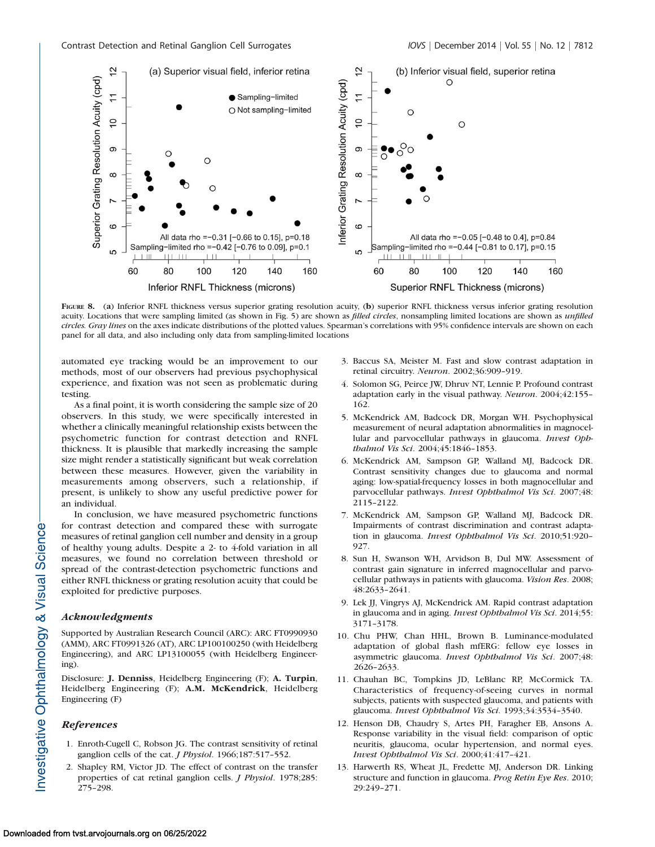

FIGURE 8. (a) Inferior RNFL thickness versus superior grating resolution acuity, (b) superior RNFL thickness versus inferior grating resolution acuity. Locations that were sampling limited (as shown in Fig. 5) are shown as *filled circles*, nonsampling limited locations are shown as *unfilled* circles. Gray lines on the axes indicate distributions of the plotted values. Spearman's correlations with 95% confidence intervals are shown on each panel for all data, and also including only data from sampling-limited locations

automated eye tracking would be an improvement to our methods, most of our observers had previous psychophysical experience, and fixation was not seen as problematic during testing.

As a final point, it is worth considering the sample size of 20 observers. In this study, we were specifically interested in whether a clinically meaningful relationship exists between the psychometric function for contrast detection and RNFL thickness. It is plausible that markedly increasing the sample size might render a statistically significant but weak correlation between these measures. However, given the variability in measurements among observers, such a relationship, if present, is unlikely to show any useful predictive power for an individual.

In conclusion, we have measured psychometric functions for contrast detection and compared these with surrogate measures of retinal ganglion cell number and density in a group of healthy young adults. Despite a 2- to 4-fold variation in all measures, we found no correlation between threshold or spread of the contrast-detection psychometric functions and either RNFL thickness or grating resolution acuity that could be exploited for predictive purposes.

#### Acknowledgments

Supported by Australian Research Council (ARC): ARC FT0990930 (AMM), ARC FT0991326 (AT), ARC LP100100250 (with Heidelberg Engineering), and ARC LP13100055 (with Heidelberg Engineering).

Disclosure: J. Denniss, Heidelberg Engineering (F); A. Turpin, Heidelberg Engineering (F); A.M. McKendrick, Heidelberg Engineering (F)

#### **References**

- 1. Enroth-Cugell C, Robson JG. The contrast sensitivity of retinal ganglion cells of the cat. *J Physiol*. 1966;187:517-552.
- 2. Shapley RM, Victor JD. The effect of contrast on the transfer properties of cat retinal ganglion cells. J Physiol. 1978;285: 275–298.
- 3. Baccus SA, Meister M. Fast and slow contrast adaptation in retinal circuitry. Neuron. 2002;36:909–919.
- 4. Solomon SG, Peirce JW, Dhruv NT, Lennie P. Profound contrast adaptation early in the visual pathway. Neuron. 2004;42:155– 162.
- 5. McKendrick AM, Badcock DR, Morgan WH. Psychophysical measurement of neural adaptation abnormalities in magnocellular and parvocellular pathways in glaucoma. Invest Ophthalmol Vis Sci. 2004;45:1846–1853.
- 6. McKendrick AM, Sampson GP, Walland MJ, Badcock DR. Contrast sensitivity changes due to glaucoma and normal aging: low-spatial-frequency losses in both magnocellular and parvocellular pathways. Invest Ophthalmol Vis Sci. 2007;48: 2115–2122.
- 7. McKendrick AM, Sampson GP, Walland MJ, Badcock DR. Impairments of contrast discrimination and contrast adaptation in glaucoma. Invest Ophthalmol Vis Sci. 2010;51:920-927.
- 8. Sun H, Swanson WH, Arvidson B, Dul MW. Assessment of contrast gain signature in inferred magnocellular and parvocellular pathways in patients with glaucoma. Vision Res. 2008; 48:2633–2641.
- 9. Lek JJ, Vingrys AJ, McKendrick AM. Rapid contrast adaptation in glaucoma and in aging. Invest Ophthalmol Vis Sci. 2014;55: 3171–3178.
- 10. Chu PHW, Chan HHL, Brown B. Luminance-modulated adaptation of global flash mfERG: fellow eye losses in asymmetric glaucoma. Invest Ophthalmol Vis Sci. 2007;48: 2626–2633.
- 11. Chauhan BC, Tompkins JD, LeBlanc RP, McCormick TA. Characteristics of frequency-of-seeing curves in normal subjects, patients with suspected glaucoma, and patients with glaucoma. Invest Ophthalmol Vis Sci. 1993;34:3534–3540.
- 12. Henson DB, Chaudry S, Artes PH, Faragher EB, Ansons A. Response variability in the visual field: comparison of optic neuritis, glaucoma, ocular hypertension, and normal eyes. Invest Ophthalmol Vis Sci. 2000;41:417–421.
- 13. Harwerth RS, Wheat JL, Fredette MJ, Anderson DR. Linking structure and function in glaucoma. Prog Retin Eye Res. 2010; 29:249–271.